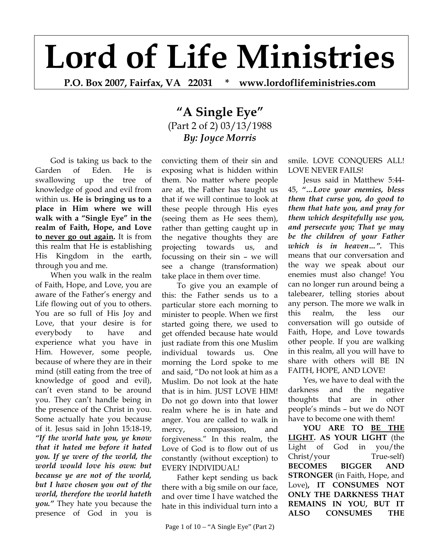# **Lord of Life Ministries**

**P.O. Box 2007, Fairfax, VA 22031 \* www.lordoflifeministries.com** 

## **"A Single Eye"** (Part 2 of 2) 03/13/1988 *By: Joyce Morris*

God is taking us back to the Garden of Eden. He is swallowing up the tree of knowledge of good and evil from within us. **He is bringing us to a place in Him where we will walk with a "Single Eye" in the realm of Faith, Hope, and Love to never go out again.** It is from this realm that He is establishing His Kingdom in the earth, through you and me.

When you walk in the realm of Faith, Hope, and Love, you are aware of the Father's energy and Life flowing out of you to others. You are so full of His Joy and Love, that your desire is for everybody to have and experience what you have in Him. However, some people, because of where they are in their mind (still eating from the tree of knowledge of good and evil), can't even stand to be around you. They can't handle being in the presence of the Christ in you. Some actually hate you because of it. Jesus said in John 15:18-19, *"If the world hate you, ye know that it hated me before it hated you. If ye were of the world, the world would love his own: but because ye are not of the world, but I have chosen you out of the world, therefore the world hateth you."* They hate you because the presence of God in you is

convicting them of their sin and exposing what is hidden within them. No matter where people are at, the Father has taught us that if we will continue to look at these people through His eyes (seeing them as He sees them), rather than getting caught up in the negative thoughts they are projecting towards us, and focussing on their sin – we will see a change (transformation) take place in them over time.

To give you an example of this: the Father sends us to a particular store each morning to minister to people. When we first started going there, we used to get offended because hate would just radiate from this one Muslim individual towards us. One morning the Lord spoke to me and said, "Do not look at him as a Muslim. Do not look at the hate that is in him. JUST LOVE HIM! Do not go down into that lower realm where he is in hate and anger. You are called to walk in mercy, compassion, and forgiveness." In this realm, the Love of God is to flow out of us constantly (without exception) to EVERY INDIVIDUAL!

Father kept sending us back there with a big smile on our face, and over time I have watched the hate in this individual turn into a

Page 1 of 10 – "A Single Eye" (Part 2)

smile. LOVE CONQUERS ALL! LOVE NEVER FAILS!

Jesus said in Matthew 5:44- 45, *"…Love your enemies, bless them that curse you, do good to them that hate you, and pray for them which despitefully use you, and persecute you; That ye may be the children of your Father which is in heaven…".* This means that our conversation and the way we speak about our enemies must also change! You can no longer run around being a talebearer, telling stories about any person. The more we walk in this realm, the less our conversation will go outside of Faith, Hope, and Love towards other people. If you are walking in this realm, all you will have to share with others will BE IN FAITH, HOPE, AND LOVE!

Yes, we have to deal with the darkness and the negative thoughts that are in other people's minds – but we do NOT have to become one with them!

**YOU ARE TO BE THE LIGHT. AS YOUR LIGHT** (the Light of God in you/the Christ/your True-self) **BECOMES BIGGER AND STRONGER** (in Faith, Hope, and Love)**, IT CONSUMES NOT ONLY THE DARKNESS THAT REMAINS IN YOU, BUT IT ALSO CONSUMES THE**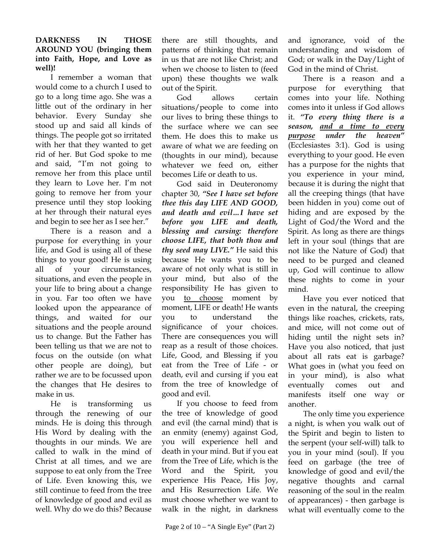#### **DARKNESS IN THOSE AROUND YOU (bringing them into Faith, Hope, and Love as well)!**

I remember a woman that would come to a church I used to go to a long time ago. She was a little out of the ordinary in her behavior. Every Sunday she stood up and said all kinds of things. The people got so irritated with her that they wanted to get rid of her. But God spoke to me and said, "I'm not going to remove her from this place until they learn to Love her. I'm not going to remove her from your presence until they stop looking at her through their natural eyes and begin to see her as I see her."

There is a reason and a purpose for everything in your life, and God is using all of these things to your good! He is using all of your circumstances, situations, and even the people in your life to bring about a change in you. Far too often we have looked upon the appearance of things, and waited for our situations and the people around us to change. But the Father has been telling us that we are not to focus on the outside (on what other people are doing), but rather we are to be focussed upon the changes that He desires to make in us.

He is transforming us through the renewing of our minds. He is doing this through His Word by dealing with the thoughts in our minds. We are called to walk in the mind of Christ at all times, and we are suppose to eat only from the Tree of Life. Even knowing this, we still continue to feed from the tree of knowledge of good and evil as well. Why do we do this? Because

there are still thoughts, and patterns of thinking that remain in us that are not like Christ; and when we choose to listen to (feed upon) these thoughts we walk out of the Spirit.

God allows certain situations/people to come into our lives to bring these things to the surface where we can see them. He does this to make us aware of what we are feeding on (thoughts in our mind), because whatever we feed on, either becomes Life or death to us.

God said in Deuteronomy chapter 30, *"See I have set before thee this day LIFE AND GOOD, and death and evil…I have set before you LIFE and death, blessing and cursing: therefore choose LIFE, that both thou and thy seed may LIVE."* He said this because He wants you to be aware of not only what is still in your mind, but also of the responsibility He has given to you to choose moment by moment, LIFE or death! He wants you to understand the significance of your choices. There are consequences you will reap as a result of those choices. Life, Good, and Blessing if you eat from the Tree of Life - or death, evil and cursing if you eat from the tree of knowledge of good and evil.

If you choose to feed from the tree of knowledge of good and evil (the carnal mind) that is an enmity (enemy) against God, you will experience hell and death in your mind. But if you eat from the Tree of Life, which is the Word and the Spirit, you experience His Peace, His Joy, and His Resurrection Life. We must choose whether we want to walk in the night, in darkness

and ignorance, void of the understanding and wisdom of God; or walk in the Day/Light of God in the mind of Christ.

There is a reason and a purpose for everything that comes into your life. Nothing comes into it unless if God allows it. *"To every thing there is a season, and a time to every purpose under the heaven"* (Ecclesiastes 3:1). God is using everything to your good. He even has a purpose for the nights that you experience in your mind, because it is during the night that all the creeping things (that have been hidden in you) come out of hiding and are exposed by the Light of God/the Word and the Spirit. As long as there are things left in your soul (things that are not like the Nature of God) that need to be purged and cleaned up, God will continue to allow these nights to come in your mind.

Have you ever noticed that even in the natural, the creeping things like roaches, crickets, rats, and mice, will not come out of hiding until the night sets in? Have you also noticed, that just about all rats eat is garbage? What goes in (what you feed on in your mind), is also what eventually comes out and manifests itself one way or another.

The only time you experience a night, is when you walk out of the Spirit and begin to listen to the serpent (your self-will) talk to you in your mind (soul). If you feed on garbage (the tree of knowledge of good and evil/the negative thoughts and carnal reasoning of the soul in the realm of appearances) - then garbage is what will eventually come to the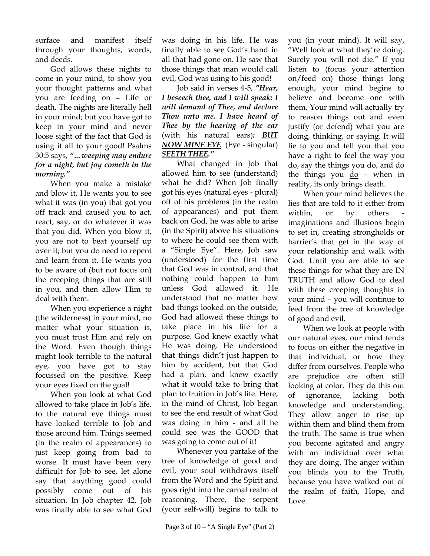surface and manifest itself through your thoughts, words, and deeds.

God allows these nights to come in your mind, to show you your thought patterns and what you are feeding on – Life or death. The nights are literally hell in your mind; but you have got to keep in your mind and never loose sight of the fact that God is using it all to your good! Psalms 30:5 says, *"…weeping may endure for a night, but joy cometh in the morning."* 

When you make a mistake and blow it, He wants you to see what it was (in you) that got you off track and caused you to act, react, say, or do whatever it was that you did. When you blow it, you are not to beat yourself up over it; but you do need to repent and learn from it. He wants you to be aware of (but not focus on) the creeping things that are still in you, and then allow Him to deal with them.

When you experience a night (the wilderness) in your mind, no matter what your situation is, you must trust Him and rely on the Word. Even though things might look terrible to the natural eye, you have got to stay focussed on the positive. Keep your eyes fixed on the goal!

When you look at what God allowed to take place in Job's life, to the natural eye things must have looked terrible to Job and those around him. Things seemed (in the realm of appearances) to just keep going from bad to worse. It must have been very difficult for Job to see, let alone say that anything good could possibly come out of his situation. In Job chapter 42, Job was finally able to see what God

was doing in his life. He was finally able to see God's hand in all that had gone on. He saw that those things that man would call evil, God was using to his good!

Job said in verses 4-5, *"Hear, I beseech thee, and I will speak: I will demand of Thee, and declare Thou unto me. I have heard of Thee by the hearing of the ear* (with his natural ears)*: BUT NOW MINE EYE* (Eye - singular) *SEETH THEE."* 

What changed in Job that allowed him to see (understand) what he did? When Job finally got his eyes (natural eyes - plural) off of his problems (in the realm of appearances) and put them back on God, he was able to arise (in the Spirit) above his situations to where he could see them with a "Single Eye". Here, Job saw (understood) for the first time that God was in control, and that nothing could happen to him unless God allowed it. He understood that no matter how bad things looked on the outside, God had allowed these things to take place in his life for a purpose. God knew exactly what He was doing. He understood that things didn't just happen to him by accident, but that God had a plan, and knew exactly what it would take to bring that plan to fruition in Job's life. Here, in the mind of Christ, Job began to see the end result of what God was doing in him - and all he could see was the GOOD that was going to come out of it!

Whenever you partake of the tree of knowledge of good and evil, your soul withdraws itself from the Word and the Spirit and goes right into the carnal realm of reasoning. There, the serpent (your self-will) begins to talk to

you (in your mind). It will say, "Well look at what they're doing. Surely you will not die." If you listen to (focus your attention on/feed on) those things long enough, your mind begins to believe and become one with them. Your mind will actually try to reason things out and even justify (or defend) what you are doing, thinking, or saying. It will lie to you and tell you that you have a right to feel the way you do, say the things you do, and do the things you do – when in reality, its only brings death.

When your mind believes the lies that are told to it either from within, or by others imaginations and illusions begin to set in, creating strongholds or barrier's that get in the way of your relationship and walk with God. Until you are able to see these things for what they are IN TRUTH and allow God to deal with these creeping thoughts in your mind – you will continue to feed from the tree of knowledge of good and evil.

When we look at people with our natural eyes, our mind tends to focus on either the negative in that individual, or how they differ from ourselves. People who are prejudice are often still looking at color. They do this out of ignorance, lacking both knowledge and understanding. They allow anger to rise up within them and blind them from the truth. The same is true when you become agitated and angry with an individual over what they are doing. The anger within you blinds you to the Truth, because you have walked out of the realm of faith, Hope, and Love.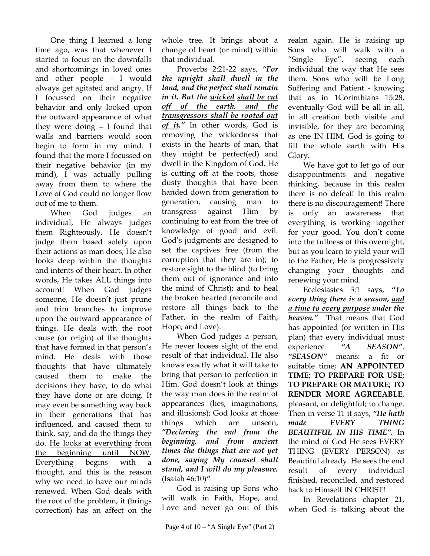One thing I learned a long time ago, was that whenever I started to focus on the downfalls and shortcomings in loved ones and other people - I would always get agitated and angry. If I focussed on their negative behavior and only looked upon the outward appearance of what they were doing – I found that walls and barriers would soon begin to form in my mind. I found that the more I focussed on their negative behavior (in my mind), I was actually pulling away from them to where the Love of God could no longer flow out of me to them.

When God judges an individual, He always judges them Righteously. He doesn't judge them based solely upon their actions as man does; He also looks deep within the thoughts and intents of their heart. In other words, He takes ALL things into account! When God judges someone, He doesn't just prune and trim branches to improve upon the outward appearance of things. He deals with the root cause (or origin) of the thoughts that have formed in that person's mind. He deals with those thoughts that have ultimately caused them to make the decisions they have, to do what they have done or are doing. It may even be something way back in their generations that has influenced, and caused them to think, say, and do the things they do. He looks at everything from the beginning until NOW. Everything begins with a thought, and this is the reason why we need to have our minds renewed. When God deals with the root of the problem, it (brings correction) has an affect on the

whole tree. It brings about a change of heart (or mind) within that individual.

Proverbs 2:21-22 says, *"For the upright shall dwell in the land, and the perfect shall remain in it. But the wicked shall be cut off of the earth, and the transgressors shall be rooted out of it."* In other words, God is removing the wickedness that exists in the hearts of man, that they might be perfect(ed) and dwell in the Kingdom of God. He is cutting off at the roots, those dusty thoughts that have been handed down from generation to generation, causing man to transgress against Him by continuing to eat from the tree of knowledge of good and evil. God's judgments are designed to set the captives free (from the corruption that they are in); to restore sight to the blind (to bring them out of ignorance and into the mind of Christ); and to heal the broken hearted (reconcile and restore all things back to the Father, in the realm of Faith, Hope, and Love).

When God judges a person, He never looses sight of the end result of that individual. He also knows exactly what it will take to bring that person to perfection in Him. God doesn't look at things the way man does in the realm of appearances (lies, imaginations, and illusions); God looks at those things which are unseen, *"Declaring the end from the beginning, and from ancient times the things that are not yet done, saying My counsel shall stand, and I will do my pleasure.* (Isaiah 46:10)*"*

God is raising up Sons who will walk in Faith, Hope, and Love and never go out of this

realm again. He is raising up Sons who will walk with a "Single Eye", seeing each individual the way that He sees them. Sons who will be Long Suffering and Patient - knowing that as in 1Corinthians 15:28, eventually God will be all in all, in all creation both visible and invisible, for they are becoming as one IN HIM. God is going to fill the whole earth with His Glory.

We have got to let go of our disappointments and negative thinking, because in this realm there is no defeat! In this realm there is no discouragement! There is only an awareness that everything is working together for your good. You don't come into the fullness of this overnight, but as you learn to yield your will to the Father, He is progressively changing your thoughts and renewing your mind.

Ecclesiastes 3:1 says, *"To every thing there is a season, and a time to every purpose under the heaven."* That means that God has appointed (or written in His plan) that every individual must experience *"A SEASON"*. *"SEASON"* means: a fit or suitable time; **AN APPOINTED TIME; TO PREPARE FOR USE; TO PREPARE OR MATURE; TO RENDER MORE AGREEABLE**, pleasant, or delightful; to change. Then in verse 11 it says, *"He hath made EVERY THING BEAUTIFUL IN HIS TIME".* In the mind of God He sees EVERY THING (EVERY PERSON) as Beautiful already. He sees the end result of every individual finished, reconciled, and restored back to Himself IN CHRIST!

In Revelations chapter 21, when God is talking about the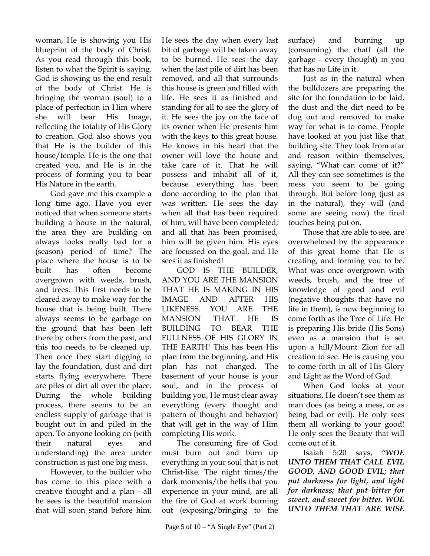woman, He is showing you His blueprint of the body of Christ. As you read through this book, listen to what the Spirit is saying. God is showing us the end result of the body of Christ. He is bringing the woman (soul) to a place of perfection in Him where she will bear His Image, reflecting the totality of His Glory to creation. God also shows you that He is the builder of this house/temple. He is the one that created you, and He is in the process of forming you to bear His Nature in the earth.

God gave me this example a long time ago. Have you ever noticed that when someone starts building a house in the natural, the area they are building on always looks really bad for a (season) period of time? The place where the house is to be built has often become overgrown with weeds, brush, and trees. This first needs to be cleared away to make way for the house that is being built. There always seems to be garbage on the ground that has been left there by others from the past, and this too needs to be cleaned up. Then once they start digging to lay the foundation, dust and dirt starts flying everywhere. There are piles of dirt all over the place. During the whole building process, there seems to be an endless supply of garbage that is bought out in and piled in the open. To anyone looking on (with their natural eyes and understanding) the area under construction is just one big mess.

However, to the builder who has come to this place with a creative thought and a plan - all he sees is the beautiful mansion that will soon stand before him.

He sees the day when every last bit of garbage will be taken away to be burned. He sees the day when the last pile of dirt has been removed, and all that surrounds this house is green and filled with life. He sees it as finished and standing for all to see the glory of it. He sees the joy on the face of its owner when He presents him with the keys to this great house. He knows in his heart that the owner will love the house and take care of it. That he will possess and inhabit all of it, because everything has been done according to the plan that was written. He sees the day when all that has been required of him, will have been completed; and all that has been promised, him will be given him. His eyes are focussed on the goal, and He sees it as finished!

GOD IS THE BUILDER, AND YOU ARE THE MANSION THAT HE IS MAKING IN HIS IMAGE AND AFTER HIS LIKENESS. YOU ARE THE MANSION THAT HE IS BUILDING TO BEAR THE FULLNESS OF HIS GLORY IN THE EARTH! This has been His plan from the beginning, and His plan has not changed. The basement of your house is your soul, and in the process of building you, He must clear away everything (every thought and pattern of thought and behavior) that will get in the way of Him completing His work.

The consuming fire of God must burn out and burn up everything in your soul that is not Christ-like. The night times/the dark moments/the hells that you experience in your mind, are all the fire of God at work burning out (exposing/bringing to the

surface) and burning up

Just as in the natural when the bulldozers are preparing the site for the foundation to be laid, the dust and the dirt need to be dug out and removed to make way for what is to come. People have looked at you just like that building site. They look from afar and reason within themselves, saying, "What can come of it?" All they can see sometimes is the mess you seem to be going through. But before long (just as in the natural), they will (and some are seeing now) the final touches being put on.

Those that are able to see, are overwhelmed by the appearance of this great home that He is creating, and forming you to be. What was once overgrown with weeds, brush, and the tree of knowledge of good and evil (negative thoughts that have no life in them), is now beginning to come forth as the Tree of Life. He is preparing His bride (His Sons) even as a mansion that is set upon a hill/Mount Zion for all creation to see. He is causing you to come forth in all of His Glory and Light as the Word of God.

When God looks at your situations, He doesn't see them as man does (as being a mess, or as being bad or evil). He only sees them all working to your good! He only sees the Beauty that will come out of it.

Isaiah 5:20 says, *"WOE UNTO THEM THAT CALL EVIL GOOD, AND GOOD EVIL; that put darkness for light, and light for darkness; that put bitter for sweet, and sweet for bitter. WOE UNTO THEM THAT ARE WISE*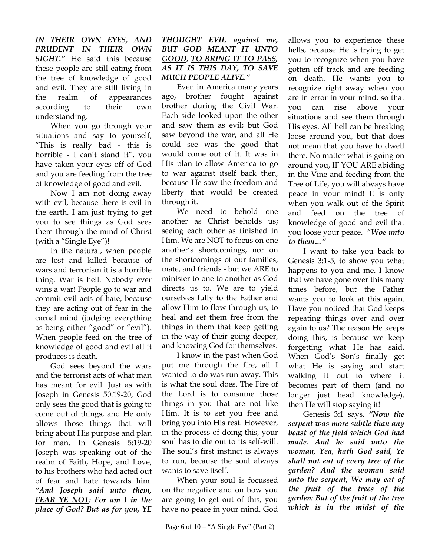*IN THEIR OWN EYES, AND PRUDENT IN THEIR OWN SIGHT."* He said this because these people are still eating from the tree of knowledge of good and evil. They are still living in the realm of appearances according to their own understanding.

When you go through your situations and say to yourself, "This is really bad - this is horrible - I can't stand it", you have taken your eyes off of God and you are feeding from the tree of knowledge of good and evil.

Now I am not doing away with evil, because there is evil in the earth. I am just trying to get you to see things as God sees them through the mind of Christ (with a "Single Eye")!

In the natural, when people are lost and killed because of wars and terrorism it is a horrible thing. War is hell. Nobody ever wins a war! People go to war and commit evil acts of hate, because they are acting out of fear in the carnal mind (judging everything as being either "good" or "evil"). When people feed on the tree of knowledge of good and evil all it produces is death.

God sees beyond the wars and the terrorist acts of what man has meant for evil. Just as with Joseph in Genesis 50:19-20, God only sees the good that is going to come out of things, and He only allows those things that will bring about His purpose and plan for man. In Genesis 5:19-20 Joseph was speaking out of the realm of Faith, Hope, and Love, to his brothers who had acted out of fear and hate towards him. *"And Joseph said unto them, FEAR YE NOT: For am I in the place of God? But as for you, YE* 

#### *THOUGHT EVIL against me, BUT GOD MEANT IT UNTO GOOD, TO BRING IT TO PASS, AS IT IS THIS DAY, TO SAVE MUCH PEOPLE ALIVE."*

Even in America many years ago, brother fought against brother during the Civil War. Each side looked upon the other and saw them as evil; but God saw beyond the war, and all He could see was the good that would come out of it. It was in His plan to allow America to go to war against itself back then, because He saw the freedom and liberty that would be created through it.

We need to behold one another as Christ beholds us; seeing each other as finished in Him. We are NOT to focus on one another's shortcomings, nor on the shortcomings of our families, mate, and friends - but we ARE to minister to one to another as God directs us to. We are to yield ourselves fully to the Father and allow Him to flow through us, to heal and set them free from the things in them that keep getting in the way of their going deeper, and knowing God for themselves.

I know in the past when God put me through the fire, all I wanted to do was run away. This is what the soul does. The Fire of the Lord is to consume those things in you that are not like Him. It is to set you free and bring you into His rest. However, in the process of doing this, your soul has to die out to its self-will. The soul's first instinct is always to run, because the soul always wants to save itself.

When your soul is focussed on the negative and on how you are going to get out of this, you have no peace in your mind. God

allows you to experience these hells, because He is trying to get you to recognize when you have gotten off track and are feeding on death. He wants you to recognize right away when you are in error in your mind, so that you can rise above your situations and see them through His eyes. All hell can be breaking loose around you, but that does not mean that you have to dwell there. No matter what is going on around you,  $I$  YOU ARE abiding in the Vine and feeding from the Tree of Life, you will always have peace in your mind! It is only when you walk out of the Spirit and feed on the tree of knowledge of good and evil that you loose your peace. **"***Woe unto to them…"* 

I want to take you back to Genesis 3:1-5, to show you what happens to you and me. I know that we have gone over this many times before, but the Father wants you to look at this again. Have you noticed that God keeps repeating things over and over again to us? The reason He keeps doing this, is because we keep forgetting what He has said. When God's Son's finally get what He is saying and start walking it out to where it becomes part of them (and no longer just head knowledge), then He will stop saying it!

Genesis 3:1 says, *"Now the serpent was more subtle than any beast of the field which God had made. And he said unto the woman, Yea, hath God said, Ye shall not eat of every tree of the garden? And the woman said unto the serpent, We may eat of the fruit of the trees of the garden: But of the fruit of the tree which is in the midst of the*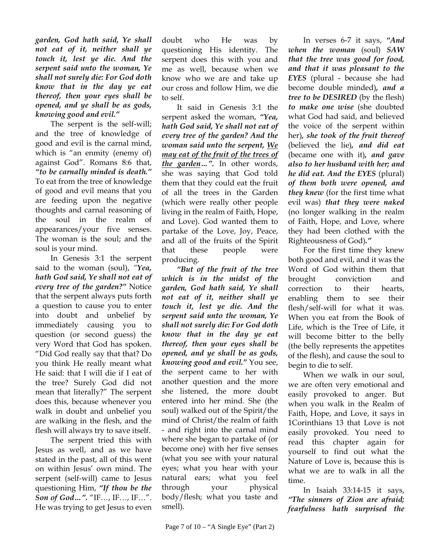*garden, God hath said, Ye shall not eat of it, neither shall ye touch it, lest ye die. And the serpent said unto the woman, Ye shall not surely die: For God doth know that in the day ye eat thereof, then your eyes shall be opened, and ye shall be as gods, knowing good and evil."*

The serpent is the self-will; and the tree of knowledge of good and evil is the carnal mind, which is "an enmity (enemy of) against God". Romans 8:6 that, *"to be carnally minded is death."* To eat from the tree of knowledge of good and evil means that you are feeding upon the negative thoughts and carnal reasoning of the soul in the realm of appearances/your five senses. The woman is the soul; and the soul is your mind.

In Genesis 3:1 the serpent said to the woman (soul), *"Yea, hath God said, Ye shall not eat of every tree of the garden?"* Notice that the serpent always puts forth a question to cause you to enter into doubt and unbelief by immediately causing you to question (or second guess) the very Word that God has spoken. "Did God really say that that? Do you think He really meant what He said: that I will die if I eat of the tree? Surely God did not mean that literally?" The serpent does this, because whenever you walk in doubt and unbelief you are walking in the flesh, and the flesh will always try to save itself.

The serpent tried this with Jesus as well, and as we have stated in the past, all of this went on within Jesus' own mind. The serpent (self-will) came to Jesus questioning Him, *"If thou be the Son of God…".* "IF…, IF…, IF…". He was trying to get Jesus to even

doubt who He was by questioning His identity. The serpent does this with you and me as well, because when we know who we are and take up our cross and follow Him, we die to self.

It said in Genesis 3:1 the serpent asked the woman, *"Yea, hath God said, Ye shall not eat of every tree of the garden? And the woman said unto the serpent, We may eat of the fruit of the trees of the garden…".* In other words, she was saying that God told them that they could eat the fruit of all the trees in the Garden (which were really other people living in the realm of Faith, Hope, and Love). God wanted them to partake of the Love, Joy, Peace, and all of the fruits of the Spirit that these people were producing.

*"But of the fruit of the tree which is in the midst of the garden, God hath said, Ye shall not eat of it, neither shall ye touch it, lest ye die. And the serpent said unto the woman, Ye shall not surely die: For God doth know that in the day ye eat thereof, then your eyes shall be opened, and ye shall be as gods, knowing good and evil."* You see, the serpent came to her with another question and the more she listened, the more doubt entered into her mind. She (the soul) walked out of the Spirit/the mind of Christ/the realm of faith - and right into the carnal mind where she began to partake of (or become one) with her five senses (what you see with your natural eyes; what you hear with your natural ears; what you feel through your physical body/flesh; what you taste and smell).

In verses 6-7 it says, *"And when the woman* (soul) *SAW that the tree was good for food, and that it was pleasant to the EYES* (plural - because she had become double minded)*, and a tree to be DESIRED* (by the flesh) *to make one wise* (she doubted what God had said, and believed the voice of the serpent within her)*, she took of the fruit thereof*  (believed the lie)*, and did eat*  (became one with it)*, and gave also to her husband with her; and he did eat. And the EYES* (plural) *of them both were opened, and they knew* (for the first time what evil was) *that they were naked*  (no longer walking in the realm of Faith, Hope, and Love, where they had been clothed with the Righteousness of God)*."*

For the first time they knew both good and evil, and it was the Word of God within them that brought conviction and correction to their hearts, enabling them to see their flesh/self-will for what it was. When you eat from the Book of Life, which is the Tree of Life, it will become bitter to the belly (the belly represents the appetites of the flesh), and cause the soul to begin to die to self.

When we walk in our soul, we are often very emotional and easily provoked to anger. But when you walk in the Realm of Faith, Hope, and Love, it says in 1Corinthians 13 that Love is not easily provoked. You need to read this chapter again for yourself to find out what the Nature of Love is, because this is what we are to walk in all the time.

In Isaiah 33:14-15 it says, *"The sinners of Zion are afraid; fearfulness hath surprised the*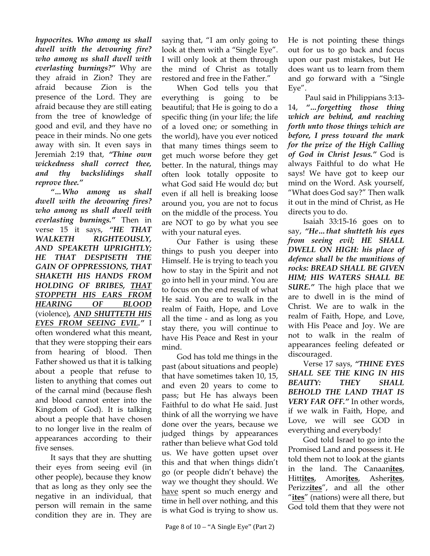*hypocrites. Who among us shall dwell with the devouring fire? who among us shall dwell with everlasting burnings?"* Why are they afraid in Zion? They are afraid because Zion is the presence of the Lord. They are afraid because they are still eating from the tree of knowledge of good and evil, and they have no peace in their minds. No one gets away with sin. It even says in Jeremiah 2:19 that, *"Thine own wickedness shall correct thee, and thy backslidings shall reprove thee."*

*"…Who among us shall dwell with the devouring fires? who among us shall dwell with everlasting burnings."* Then in verse 15 it says, *"HE THAT WALKETH RIGHTEOUSLY, AND SPEAKETH UPRIGHTLY; HE THAT DESPISETH THE GAIN OF OPPRESSIONS, THAT SHAKETH HIS HANDS FROM HOLDING OF BRIBES, THAT STOPPETH HIS EARS FROM HEARING OF BLOOD* (violence)*, AND SHUTTETH HIS EYES FROM SEEING EVIL."* I often wondered what this meant, that they were stopping their ears from hearing of blood. Then Father showed us that it is talking about a people that refuse to listen to anything that comes out of the carnal mind (because flesh and blood cannot enter into the Kingdom of God). It is talking about a people that have chosen to no longer live in the realm of appearances according to their five senses.

It says that they are shutting their eyes from seeing evil (in other people), because they know that as long as they only see the negative in an individual, that person will remain in the same condition they are in. They are

saying that, "I am only going to look at them with a "Single Eye". I will only look at them through the mind of Christ as totally restored and free in the Father."

When God tells you that everything is going to be beautiful; that He is going to do a specific thing (in your life; the life of a loved one; or something in the world), have you ever noticed that many times things seem to get much worse before they get better. In the natural, things may often look totally opposite to what God said He would do; but even if all hell is breaking loose around you, you are not to focus on the middle of the process. You are NOT to go by what you see with your natural eyes.

Our Father is using these things to push you deeper into Himself. He is trying to teach you how to stay in the Spirit and not go into hell in your mind. You are to focus on the end result of what He said. You are to walk in the realm of Faith, Hope, and Love all the time - and as long as you stay there, you will continue to have His Peace and Rest in your mind.

God has told me things in the past (about situations and people) that have sometimes taken 10, 15, and even 20 years to come to pass; but He has always been Faithful to do what He said. Just think of all the worrying we have done over the years, because we judged things by appearances rather than believe what God told us. We have gotten upset over this and that when things didn't go (or people didn't behave) the way we thought they should. We have spent so much energy and time in hell over nothing, and this is what God is trying to show us.

He is not pointing these things out for us to go back and focus upon our past mistakes, but He does want us to learn from them and go forward with a "Single Eye".

 Paul said in Philippians 3:13- 14, *"…forgetting those thing which are behind, and reaching forth unto those things which are before, I press toward the mark for the prize of the High Calling of God in Christ Jesus."* God is always Faithful to do what He says! We have got to keep our mind on the Word. Ask yourself, "What does God say?" Then walk it out in the mind of Christ, as He directs you to do.

Isaiah 33:15-16 goes on to say, *"He…that shutteth his eyes from seeing evil; HE SHALL DWELL ON HIGH: his place of defence shall be the munitions of rocks: BREAD SHALL BE GIVEN HIM; HIS WATERS SHALL BE SURE."* The high place that we are to dwell in is the mind of Christ. We are to walk in the realm of Faith, Hope, and Love, with His Peace and Joy. We are not to walk in the realm of appearances feeling defeated or discouraged.

Verse 17 says, *"THINE EYES SHALL SEE THE KING IN HIS BEAUTY: THEY SHALL BEHOLD THE LAND THAT IS VERY FAR OFF."* In other words, if we walk in Faith, Hope, and Love, we will see GOD in everything and everybody!

God told Israel to go into the Promised Land and possess it. He told them not to look at the giants in the land. The Canaan**ites**, Hitt**ites**, Amor**ites**, Asher**ites**, Perizz**ites**", and all the other "**ites**" (nations) were all there, but God told them that they were not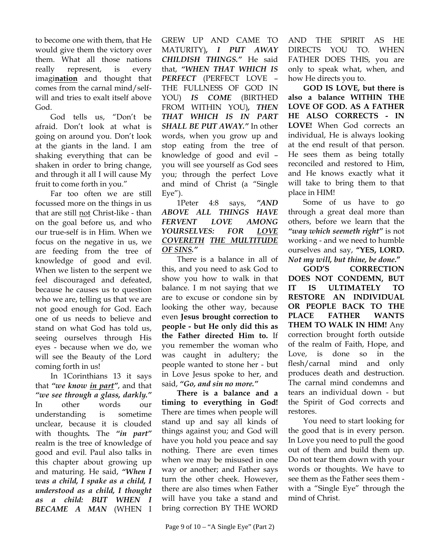to become one with them, that He would give them the victory over them. What all those nations really represent, is every imagi**nation** and thought that comes from the carnal mind/selfwill and tries to exalt itself above God.

God tells us, "Don't be afraid. Don't look at what is going on around you. Don't look at the giants in the land. I am shaking everything that can be shaken in order to bring change, and through it all I will cause My fruit to come forth in you."

Far too often we are still focussed more on the things in us that are still not Christ-like - than on the goal before us, and who our true-self is in Him. When we focus on the negative in us, we are feeding from the tree of knowledge of good and evil. When we listen to the serpent we feel discouraged and defeated, because he causes us to question who we are, telling us that we are not good enough for God. Each one of us needs to believe and stand on what God has told us, seeing ourselves through His eyes - because when we do, we will see the Beauty of the Lord coming forth in us!

In 1Corinthians 13 it says that *"we know in part"*, and that *"we see through a glass, darkly."* In other words our understanding is sometime unclear, because it is clouded with thoughts*.* The *"in part"* realm is the tree of knowledge of good and evil. Paul also talks in this chapter about growing up and maturing. He said, *"When I was a child, I spake as a child, I understood as a child, I thought as a child: BUT WHEN I BECAME A MAN* (WHEN I

GREW UP AND CAME TO MATURITY)*, I PUT AWAY CHILDISH THINGS."* He said that, *"WHEN THAT WHICH IS PERFECT* (PERFECT LOVE – THE FULLNESS OF GOD IN YOU) *IS COME* (BIRTHED FROM WITHIN YOU)*, THEN THAT WHICH IS IN PART SHALL BE PUT AWAY."* In other words, when you grow up and stop eating from the tree of knowledge of good and evil – you will see yourself as God sees you; through the perfect Love and mind of Christ (a "Single  $Eye''$ ).

1Peter 4:8 says, *"AND ABOVE ALL THINGS HAVE FERVENT LOVE AMONG YOURSELVES: FOR LOVE COVERETH THE MULTITUDE OF SINS."* 

There is a balance in all of this, and you need to ask God to show you how to walk in that balance. I m not saying that we are to excuse or condone sin by looking the other way, because even **Jesus brought correction to people - but He only did this as the Father directed Him to.** If you remember the woman who was caught in adultery; the people wanted to stone her - but in Love Jesus spoke to her, and said, *"Go, and sin no more."*

**There is a balance and a timing to everything in God!** There are times when people will stand up and say all kinds of things against you; and God will have you hold you peace and say nothing. There are even times when we may be misused in one way or another; and Father says turn the other cheek. However, there are also times when Father will have you take a stand and bring correction BY THE WORD

AND THE SPIRIT AS HE DIRECTS YOU TO. WHEN FATHER DOES THIS, you are only to speak what, when, and how He directs you to.

**GOD IS LOVE, but there is also a balance WITHIN THE LOVE OF GOD. AS A FATHER HE ALSO CORRECTS - IN LOVE!** When God corrects an individual, He is always looking at the end result of that person. He sees them as being totally reconciled and restored to Him, and He knows exactly what it will take to bring them to that place in HIM!

Some of us have to go through a great deal more than others, before we learn that the *"way which seemeth right"* is not working - and we need to humble ourselves and say, **"YES, LORD.**  *Not my will, but thine, be done***."**

**GOD'S CORRECTION DOES NOT CONDEMN, BUT IT IS ULTIMATELY TO RESTORE AN INDIVIDUAL OR PEOPLE BACK TO THE PLACE FATHER WANTS THEM TO WALK IN HIM!** Any correction brought forth outside of the realm of Faith, Hope, and Love, is done so in the flesh/carnal mind and only produces death and destruction. The carnal mind condemns and tears an individual down - but the Spirit of God corrects and restores.

You need to start looking for the good that is in every person. In Love you need to pull the good out of them and build them up. Do not tear them down with your words or thoughts. We have to see them as the Father sees them with a "Single Eye" through the mind of Christ.